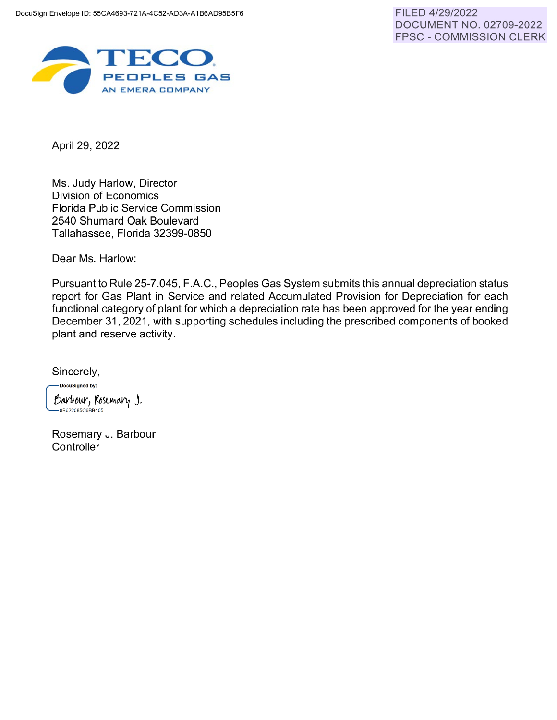

April 29, 2022

Ms. Judy Harlow, Director Division of Economics Florida Public Service Commission 2540 Shumard Oak Boulevard Tallahassee, Florida 32399-0850

Dear Ms. Harlow:

Pursuant to Rule 25-7.045, F.A.C., Peoples Gas System submits this annual depreciation status report for Gas Plant in Service and related Accumulated Provision for Depreciation for each functional category of plant for which a depreciation rate has been approved for the year ending December 31 , 2021, with supporting schedules including the prescribed components of booked plant and reserve activity.

Sincerely,

DocuSigned by: Barbour, Rosemary J.<br>—овезговъечевноб…

Rosemary J. Barbour **Controller**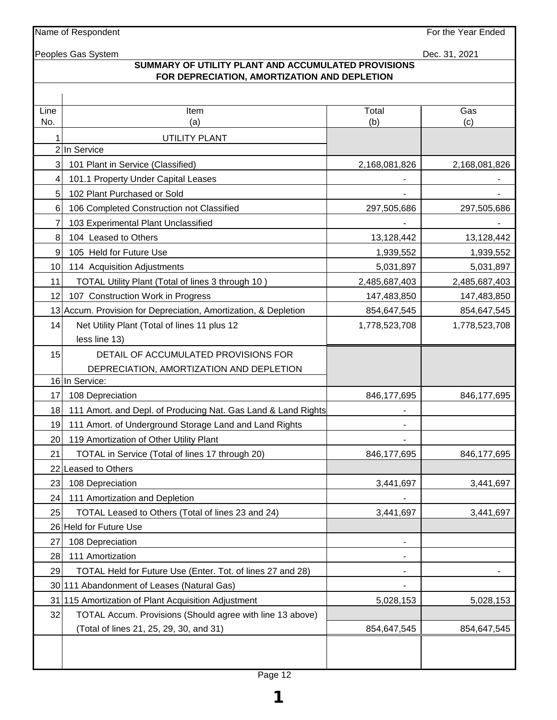Name of Respondent **For the Year Ended** 

Peoples Gas System Dec. 31, 2021

## **SUMMARY OF UTILITY PLANT AND ACCUMULATED PROVISIONS FOR DEPRECIATION, AMORTIZATION AND DEPLETION**

| Line            | Item                                                            | Total                        | Gas           |
|-----------------|-----------------------------------------------------------------|------------------------------|---------------|
| No.             | (a)                                                             | (b)                          | (c)           |
|                 | <b>UTILITY PLANT</b><br>2 In Service                            |                              |               |
| 3               | 101 Plant in Service (Classified)                               | 2,168,081,826                | 2,168,081,826 |
| 4               | 101.1 Property Under Capital Leases                             |                              |               |
| 5 <sup>1</sup>  | 102 Plant Purchased or Sold                                     |                              |               |
| 6               | 106 Completed Construction not Classified                       | 297,505,686                  | 297,505,686   |
| 7               | 103 Experimental Plant Unclassified                             |                              |               |
| 8               | 104 Leased to Others                                            | 13,128,442                   | 13,128,442    |
| $\overline{9}$  | 105 Held for Future Use                                         | 1,939,552                    | 1,939,552     |
| 10 <sup>1</sup> | 114 Acquisition Adjustments                                     | 5,031,897                    | 5,031,897     |
| 11              | TOTAL Utility Plant (Total of lines 3 through 10)               | 2,485,687,403                | 2,485,687,403 |
| 12              | 107 Construction Work in Progress                               | 147,483,850                  | 147,483,850   |
|                 | 13 Accum. Provision for Depreciation, Amortization, & Depletion | 854,647,545                  | 854,647,545   |
| 14              | Net Utility Plant (Total of lines 11 plus 12                    | 1,778,523,708                | 1,778,523,708 |
|                 | less line 13)                                                   |                              |               |
| 15              | DETAIL OF ACCUMULATED PROVISIONS FOR                            |                              |               |
|                 | DEPRECIATION, AMORTIZATION AND DEPLETION                        |                              |               |
|                 | 16 In Service:                                                  |                              |               |
| 17              | 108 Depreciation                                                | 846, 177, 695                | 846, 177, 695 |
| 18              | 111 Amort. and Depl. of Producing Nat. Gas Land & Land Rights   |                              |               |
| 19              | 111 Amort. of Underground Storage Land and Land Rights          |                              |               |
| <b>20</b>       | 119 Amortization of Other Utility Plant                         |                              |               |
| 21              | TOTAL in Service (Total of lines 17 through 20)                 | 846,177,695                  | 846, 177, 695 |
|                 | 22 Leased to Others                                             |                              |               |
| 23              | 108 Depreciation                                                | 3,441,697                    | 3,441,697     |
| 24              | 111 Amortization and Depletion                                  |                              |               |
| 25              | TOTAL Leased to Others (Total of lines 23 and 24)               | 3,441,697                    | 3,441,697     |
|                 | 26 Held for Future Use                                          |                              |               |
| 27              | 108 Depreciation                                                |                              |               |
| 28              | 111 Amortization                                                | $\qquad \qquad \blacksquare$ |               |
| 29              | TOTAL Held for Future Use (Enter. Tot. of lines 27 and 28)      |                              |               |
|                 | 30 111 Abandonment of Leases (Natural Gas)                      |                              |               |
| 31              | 115 Amortization of Plant Acquisition Adjustment                | 5,028,153                    | 5,028,153     |
| 32              | TOTAL Accum. Provisions (Should agree with line 13 above)       |                              |               |
|                 | (Total of lines 21, 25, 29, 30, and 31)                         | 854,647,545                  | 854,647,545   |
|                 |                                                                 |                              |               |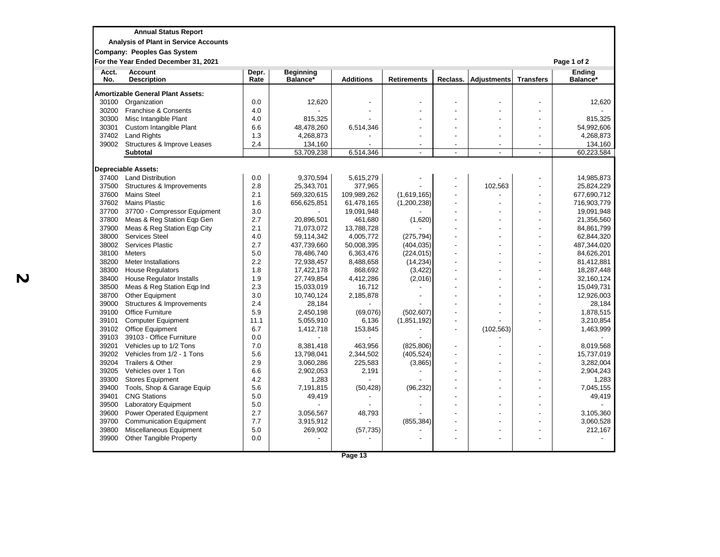| __<br><b>Annual Status Report</b> |  |  |
|-----------------------------------|--|--|
|                                   |  |  |

**Analysis of Plant in Service Accounts** 

**Company: Peoples Gas System**

**For the Year Ended December 31, 2021 Page 1 of 2**

| Acct.<br>No. | <b>Account</b><br><b>Description</b>     | Depr.<br>Rate | <b>Beginning</b><br>Balance* | <b>Additions</b> | <b>Retirements</b> | Reclass.                 | <b>Adjustments</b> | <b>Transfers</b>         | <b>Ending</b><br>Balance* |
|--------------|------------------------------------------|---------------|------------------------------|------------------|--------------------|--------------------------|--------------------|--------------------------|---------------------------|
|              | <b>Amortizable General Plant Assets:</b> |               |                              |                  |                    |                          |                    |                          |                           |
| 30100        | Organization                             | 0.0           | 12,620                       |                  |                    |                          |                    |                          | 12,620                    |
| 30200        | Franchise & Consents                     | 4.0           |                              |                  |                    |                          |                    |                          |                           |
| 30300        | Misc Intangible Plant                    | 4.0           | 815,325                      |                  |                    |                          |                    |                          | 815,325                   |
| 30301        | Custom Intangible Plant                  | 6.6           | 48,478,260                   | 6,514,346        |                    |                          |                    |                          | 54,992,606                |
| 37402        | <b>Land Rights</b>                       | 1.3           | 4,268,873                    |                  |                    |                          |                    |                          | 4,268,873                 |
| 39002        | Structures & Improve Leases              | 2.4           | 134,160                      |                  |                    |                          |                    | $\blacksquare$           | 134,160                   |
|              | <b>Subtotal</b>                          |               | 53,709,238                   | 6,514,346        |                    |                          |                    |                          | 60,223,584                |
|              | <b>Depreciable Assets:</b>               |               |                              |                  |                    |                          |                    |                          |                           |
| 37400        | <b>Land Distribution</b>                 | 0.0           | 9,370,594                    | 5,615,279        |                    |                          |                    |                          | 14,985,873                |
| 37500        | Structures & Improvements                | 2.8           | 25,343,701                   | 377,965          |                    |                          | 102,563            |                          | 25,824,229                |
| 37600        | <b>Mains Steel</b>                       | 2.1           | 569,320,615                  | 109,989,262      | (1,619,165)        |                          |                    |                          | 677,690,712               |
| 37602        | <b>Mains Plastic</b>                     | 1.6           | 656,625,851                  | 61,478,165       | (1,200,238)        |                          |                    |                          | 716,903,779               |
| 37700        | 37700 - Compressor Equipment             | 3.0           |                              | 19,091,948       |                    |                          |                    |                          | 19,091,948                |
| 37800        | Meas & Reg Station Eqp Gen               | 2.7           | 20,896,501                   | 461,680          | (1,620)            |                          |                    | $\overline{a}$           | 21,356,560                |
| 37900        | Meas & Reg Station Eqp City              | 2.1           | 71,073,072                   | 13,788,728       |                    |                          |                    |                          | 84,861,799                |
| 38000        | <b>Services Steel</b>                    | 4.0           | 59,114,342                   | 4,005,772        | (275, 794)         |                          |                    | $\overline{\phantom{a}}$ | 62,844,320                |
| 38002        | Services Plastic                         | 2.7           | 437,739,660                  | 50,008,395       | (404, 035)         |                          |                    |                          | 487,344,020               |
| 38100        | <b>Meters</b>                            | 5.0           | 78,486,740                   | 6,363,476        | (224, 015)         | $\overline{\phantom{a}}$ |                    | $\overline{\phantom{a}}$ | 84,626,201                |
| 38200        | Meter Installations                      | 2.2           | 72,938,457                   | 8,488,658        | (14, 234)          |                          |                    |                          | 81,412,881                |
| 38300        | <b>House Regulators</b>                  | 1.8           | 17,422,178                   | 868,692          | (3, 422)           |                          |                    | $\overline{\phantom{a}}$ | 18,287,448                |
| 38400        | <b>House Regulator Installs</b>          | 1.9           | 27,749,854                   | 4,412,286        | (2,016)            |                          |                    |                          | 32,160,124                |
| 38500        | Meas & Reg Station Eqp Ind               | 2.3           | 15,033,019                   | 16,712           |                    |                          |                    | $\overline{a}$           | 15,049,731                |
| 38700        | Other Equipment                          | 3.0           | 10,740,124                   | 2,185,878        |                    |                          |                    |                          | 12,926,003                |
| 39000        | Structures & Improvements                | 2.4           | 28,184                       |                  |                    |                          |                    | $\overline{\phantom{a}}$ | 28,184                    |
| 39100        | <b>Office Furniture</b>                  | 5.9           | 2,450,198                    | (69,076)         | (502, 607)         |                          |                    |                          | 1,878,515                 |
| 39101        | <b>Computer Equipment</b>                | 11.1          | 5,055,910                    | 6,136            | (1,851,192)        | $\overline{\phantom{a}}$ |                    |                          | 3,210,854                 |
| 39102        | <b>Office Equipment</b>                  | 6.7           | 1,412,718                    | 153,845          |                    |                          | (102, 563)         |                          | 1,463,999                 |
| 39103        | 39103 - Office Furniture                 | 0.0           |                              |                  |                    |                          |                    |                          |                           |
| 39201        | Vehicles up to 1/2 Tons                  | 7.0           | 8,381,418                    | 463,956          | (825, 806)         |                          |                    |                          | 8,019,568                 |
| 39202        | Vehicles from 1/2 - 1 Tons               | 5.6           | 13,798,041                   | 2,344,502        | (405, 524)         |                          |                    |                          | 15,737,019                |
| 39204        | Trailers & Other                         | 2.9           | 3,060,286                    | 225,583          | (3,865)            |                          |                    |                          | 3,282,004                 |
| 39205        | Vehicles over 1 Ton                      | 6.6           | 2,902,053                    | 2,191            |                    |                          |                    |                          | 2,904,243                 |
| 39300        | <b>Stores Equipment</b>                  | 4.2           | 1,283                        |                  |                    |                          |                    |                          | 1,283                     |
| 39400        | Tools, Shop & Garage Equip               | 5.6           | 7,191,815                    | (50, 428)        | (96, 232)          |                          |                    |                          | 7,045,155                 |
| 39401        | <b>CNG Stations</b>                      | 5.0           | 49,419                       |                  |                    |                          |                    |                          | 49,419                    |
| 39500        | Laboratory Equipment                     | 5.0           |                              |                  |                    |                          |                    |                          |                           |
| 39600        | <b>Power Operated Equipment</b>          | 2.7           | 3,056,567                    | 48,793           |                    |                          |                    |                          | 3,105,360                 |
| 39700        | <b>Communication Equipment</b>           | 7.7           | 3,915,912                    |                  | (855, 384)         |                          |                    |                          | 3,060,528                 |
| 39800        | Miscellaneous Equipment                  | 5.0           | 269,902                      | (57, 735)        |                    |                          |                    |                          | 212,167                   |
| 39900        | <b>Other Tangible Property</b>           | 0.0           |                              |                  |                    |                          |                    |                          |                           |
|              |                                          |               |                              |                  |                    |                          |                    |                          |                           |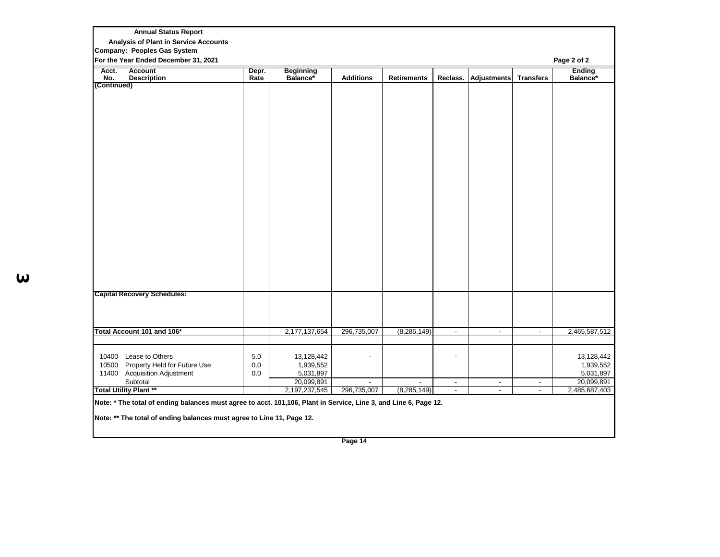| <b>Annual Status Report</b>               |               |                             |                       |                                                  |        |        |            |                             |
|-------------------------------------------|---------------|-----------------------------|-----------------------|--------------------------------------------------|--------|--------|------------|-----------------------------|
| Analysis of Plant in Service Accounts     |               |                             |                       |                                                  |        |        |            |                             |
| <b>Company: Peoples Gas System</b>        |               |                             |                       |                                                  |        |        |            |                             |
| For the Year Ended December 31, 2021      |               |                             |                       |                                                  |        |        |            | Page 2 of 2                 |
| Acct.<br>Account                          | Depr.<br>Rate | Beginning<br>Balance*       |                       |                                                  |        |        |            | Ending<br>Balance*          |
| <b>Description</b><br>No.<br>(Continued)  |               |                             | <b>Additions</b>      | Retirements   Reclass.   Adjustments   Transfers |        |        |            |                             |
|                                           |               |                             |                       |                                                  |        |        |            |                             |
|                                           |               |                             |                       |                                                  |        |        |            |                             |
|                                           |               |                             |                       |                                                  |        |        |            |                             |
|                                           |               |                             |                       |                                                  |        |        |            |                             |
|                                           |               |                             |                       |                                                  |        |        |            |                             |
|                                           |               |                             |                       |                                                  |        |        |            |                             |
|                                           |               |                             |                       |                                                  |        |        |            |                             |
|                                           |               |                             |                       |                                                  |        |        |            |                             |
|                                           |               |                             |                       |                                                  |        |        |            |                             |
|                                           |               |                             |                       |                                                  |        |        |            |                             |
|                                           |               |                             |                       |                                                  |        |        |            |                             |
|                                           |               |                             |                       |                                                  |        |        |            |                             |
|                                           |               |                             |                       |                                                  |        |        |            |                             |
|                                           |               |                             |                       |                                                  |        |        |            |                             |
|                                           |               |                             |                       |                                                  |        |        |            |                             |
|                                           |               |                             |                       |                                                  |        |        |            |                             |
|                                           |               |                             |                       |                                                  |        |        |            |                             |
|                                           |               |                             |                       |                                                  |        |        |            |                             |
|                                           |               |                             |                       |                                                  |        |        |            |                             |
|                                           |               |                             |                       |                                                  |        |        |            |                             |
|                                           |               |                             |                       |                                                  |        |        |            |                             |
| <b>Capital Recovery Schedules:</b>        |               |                             |                       |                                                  |        |        |            |                             |
|                                           |               |                             |                       |                                                  |        |        |            |                             |
|                                           |               |                             |                       |                                                  |        |        |            |                             |
|                                           |               |                             |                       |                                                  |        |        |            |                             |
| Total Account 101 and 106*                |               | 2,177,137,654               | 296,735,007           | (8, 285, 149)                                    | $\sim$ | $\sim$ | $\sim$ $-$ | 2,465,587,512               |
|                                           |               |                             |                       |                                                  |        |        |            |                             |
|                                           |               |                             |                       |                                                  |        |        |            |                             |
| 10400 Lease to Others                     | 5.0           | 13,128,442                  | $\sim$                |                                                  | $\sim$ |        |            | 13,128,442                  |
| 10500 Property Held for Future Use        | $0.0\,$       | 1,939,552                   |                       |                                                  |        |        |            | 1,939,552                   |
| 11400 Acquisition Adjustment              | 0.0           | 5,031,897                   |                       |                                                  |        |        |            | 5,031,897                   |
| Subtotal<br><b>Total Utility Plant **</b> |               | 20,099,891<br>2,197,237,545 | $\sim$<br>296,735,007 | $\sim$<br>(8, 285, 149)                          | $\sim$ | $\sim$ | $\sim$     | 20,099,891<br>2,485,687,403 |
|                                           |               |                             |                       |                                                  | $\sim$ | $\sim$ | $\sim$     |                             |

**Note: \*\* The total of ending balances must agree to Line 11, Page 12.**

**3**

**Page 14**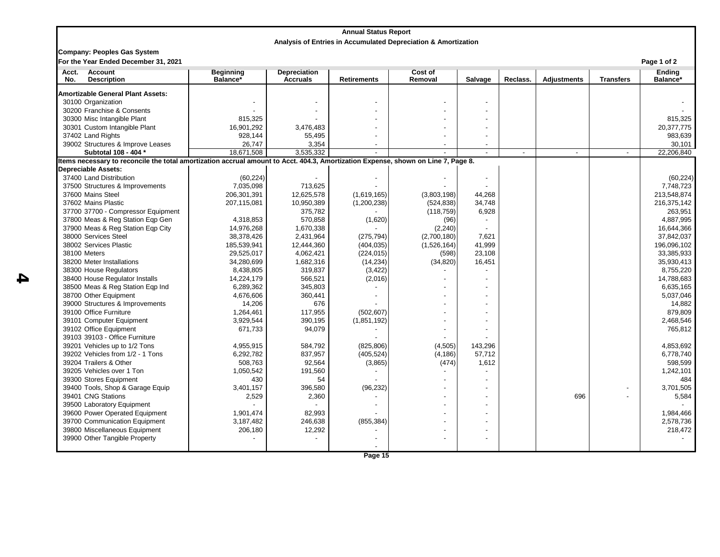|              |                                                                                                                                   |                              |                                        | <b>Annual Status Report</b> |                                                                |         |                |                    |                  |                           |
|--------------|-----------------------------------------------------------------------------------------------------------------------------------|------------------------------|----------------------------------------|-----------------------------|----------------------------------------------------------------|---------|----------------|--------------------|------------------|---------------------------|
|              |                                                                                                                                   |                              |                                        |                             | Analysis of Entries in Accumulated Depreciation & Amortization |         |                |                    |                  |                           |
|              | <b>Company: Peoples Gas System</b><br>For the Year Ended December 31, 2021                                                        |                              |                                        |                             |                                                                |         |                |                    |                  | Page 1 of 2               |
| Acct.<br>No. | <b>Account</b><br><b>Description</b>                                                                                              | <b>Beginning</b><br>Balance* | <b>Depreciation</b><br><b>Accruals</b> | <b>Retirements</b>          | <b>Cost of</b><br>Removal                                      | Salvage | Reclass.       | <b>Adjustments</b> | <b>Transfers</b> | <b>Ending</b><br>Balance* |
|              | <b>Amortizable General Plant Assets:</b>                                                                                          |                              |                                        |                             |                                                                |         |                |                    |                  |                           |
|              | 30100 Organization                                                                                                                |                              |                                        |                             |                                                                |         |                |                    |                  |                           |
|              | 30200 Franchise & Consents                                                                                                        |                              |                                        |                             |                                                                |         |                |                    |                  |                           |
|              | 30300 Misc Intangible Plant                                                                                                       | 815,325                      |                                        |                             |                                                                |         |                |                    |                  | 815,325                   |
|              | 30301 Custom Intangible Plant                                                                                                     | 16,901,292                   | 3,476,483                              |                             |                                                                |         |                |                    |                  | 20,377,775                |
|              | 37402 Land Rights                                                                                                                 | 928,144                      | 55,495                                 |                             |                                                                |         |                |                    |                  | 983,639                   |
|              | 39002 Structures & Improve Leases                                                                                                 | 26.747                       | 3,354                                  |                             |                                                                |         |                |                    |                  | 30,101                    |
|              | Subtotal 108 - 404 *                                                                                                              | 18,671,508                   | 3,535,332                              |                             |                                                                |         | $\overline{a}$ | $\overline{a}$     | $\overline{a}$   | 22,206,840                |
|              | Items necessary to reconcile the total amortization accrual amount to Acct. 404.3, Amortization Expense, shown on Line 7, Page 8. |                              |                                        |                             |                                                                |         |                |                    |                  |                           |
|              | <b>Depreciable Assets:</b>                                                                                                        |                              |                                        |                             |                                                                |         |                |                    |                  |                           |
|              | 37400 Land Distribution                                                                                                           | (60, 224)                    |                                        |                             |                                                                |         |                |                    |                  | (60, 224)                 |
|              | 37500 Structures & Improvements                                                                                                   | 7,035,098                    | 713,625                                |                             |                                                                |         |                |                    |                  | 7,748,723                 |
|              | 37600 Mains Steel                                                                                                                 | 206,301,391                  | 12,625,578                             | (1,619,165)                 | (3,803,198)                                                    | 44,268  |                |                    |                  | 213,548,874               |
|              | 37602 Mains Plastic                                                                                                               | 207,115,081                  | 10,950,389                             | (1,200,238)                 | (524, 838)                                                     | 34,748  |                |                    |                  | 216,375,142               |
|              | 37700 37700 - Compressor Equipment                                                                                                |                              | 375,782                                |                             | (118, 759)                                                     | 6,928   |                |                    |                  | 263,951                   |
|              | 37800 Meas & Reg Station Eqp Gen                                                                                                  | 4,318,853                    | 570,858                                | (1,620)                     | (96)                                                           |         |                |                    |                  | 4,887,995                 |
|              | 37900 Meas & Reg Station Eqp City                                                                                                 | 14,976,268                   | 1,670,338                              |                             | (2,240)                                                        |         |                |                    |                  | 16,644,366                |
|              | 38000 Services Steel                                                                                                              | 38,378,426                   | 2,431,964                              | (275, 794)                  | (2,700,180)                                                    | 7,621   |                |                    |                  | 37,842,037                |
|              | 38002 Services Plastic                                                                                                            | 185,539,941                  | 12,444,360                             | (404, 035)                  | (1,526,164)                                                    | 41,999  |                |                    |                  | 196,096,102               |
|              | 38100 Meters                                                                                                                      | 29,525,017                   | 4,062,421                              | (224, 015)                  | (598)                                                          | 23,108  |                |                    |                  | 33,385,933                |
|              | 38200 Meter Installations                                                                                                         | 34,280,699                   | 1,682,316                              | (14, 234)                   | (34, 820)                                                      | 16,451  |                |                    |                  | 35,930,413                |
|              | 38300 House Regulators                                                                                                            | 8,438,805                    | 319,837                                | (3, 422)                    |                                                                |         |                |                    |                  | 8,755,220                 |
|              | 38400 House Regulator Installs                                                                                                    | 14,224,179                   | 566,521                                | (2,016)                     |                                                                |         |                |                    |                  | 14,788,683                |
|              | 38500 Meas & Reg Station Eqp Ind                                                                                                  | 6,289,362                    | 345,803                                |                             |                                                                |         |                |                    |                  | 6,635,165                 |
|              | 38700 Other Equipment                                                                                                             | 4,676,606                    | 360,441                                |                             |                                                                |         |                |                    |                  | 5,037,046                 |
|              | 39000 Structures & Improvements                                                                                                   | 14,206                       | 676                                    |                             |                                                                |         |                |                    |                  | 14,882                    |
|              | 39100 Office Furniture                                                                                                            | 1,264,461                    | 117,955                                | (502, 607)                  |                                                                |         |                |                    |                  | 879,809                   |
|              | 39101 Computer Equipment                                                                                                          | 3,929,544                    | 390,195                                | (1,851,192)                 |                                                                |         |                |                    |                  | 2,468,546                 |
|              | 39102 Office Equipment                                                                                                            | 671,733                      | 94,079                                 |                             |                                                                |         |                |                    |                  | 765,812                   |
|              | 39103 39103 - Office Furniture                                                                                                    |                              |                                        |                             |                                                                |         |                |                    |                  |                           |
|              | 39201 Vehicles up to 1/2 Tons                                                                                                     | 4.955.915                    | 584.792                                | (825, 806)                  | (4, 505)                                                       | 143,296 |                |                    |                  | 4,853,692                 |
|              | 39202 Vehicles from 1/2 - 1 Tons                                                                                                  | 6.292.782                    | 837,957                                | (405, 524)                  | (4.186)                                                        | 57,712  |                |                    |                  | 6,778,740                 |
|              | 39204 Trailers & Other                                                                                                            | 508.763                      | 92,564                                 | (3,865)                     | (474)                                                          | 1,612   |                |                    |                  | 598,599                   |
|              | 39205 Vehicles over 1 Ton                                                                                                         | 1,050,542                    | 191,560                                |                             |                                                                |         |                |                    |                  | 1,242,101                 |
|              | 39300 Stores Equipment                                                                                                            | 430                          | 54                                     |                             |                                                                |         |                |                    |                  | 484                       |
|              | 39400 Tools, Shop & Garage Equip                                                                                                  | 3,401,157                    | 396,580                                | (96, 232)                   |                                                                |         |                |                    |                  | 3,701,505                 |
|              | 39401 CNG Stations                                                                                                                | 2,529                        | 2,360                                  |                             |                                                                |         |                | 696                |                  | 5,584                     |
|              | 39500 Laboratory Equipment                                                                                                        |                              |                                        |                             |                                                                |         |                |                    |                  |                           |
|              | 39600 Power Operated Equipment                                                                                                    | 1,901,474                    | 82,993                                 |                             |                                                                |         |                |                    |                  | 1,984,466                 |
|              | 39700 Communication Equipment                                                                                                     | 3,187,482                    | 246,638                                | (855, 384)                  |                                                                |         |                |                    |                  | 2,578,736                 |
|              | 39800 Miscellaneous Equipment                                                                                                     | 206,180                      | 12,292                                 |                             |                                                                |         |                |                    |                  | 218,472                   |
|              | 39900 Other Tangible Property                                                                                                     |                              |                                        |                             |                                                                |         |                |                    |                  |                           |
|              |                                                                                                                                   |                              |                                        |                             |                                                                |         |                |                    |                  |                           |